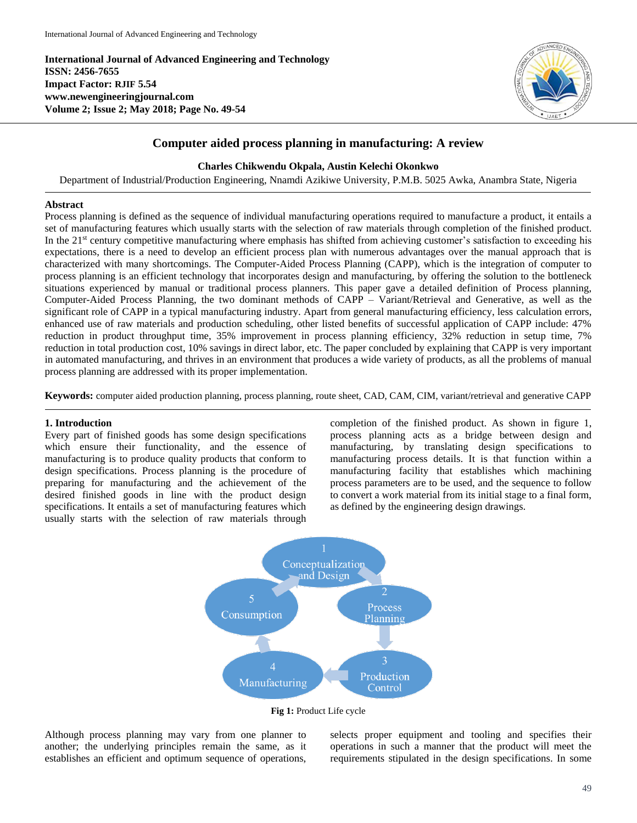**International Journal of Advanced Engineering and Technology ISSN: 2456-7655 Impact Factor: RJIF 5.54 www.newengineeringjournal.com Volume 2; Issue 2; May 2018; Page No. 49-54**



# **Computer aided process planning in manufacturing: A review**

# **Charles Chikwendu Okpala, Austin Kelechi Okonkwo**

Department of Industrial/Production Engineering, Nnamdi Azikiwe University, P.M.B. 5025 Awka, Anambra State, Nigeria

### **Abstract**

Process planning is defined as the sequence of individual manufacturing operations required to manufacture a product, it entails a set of manufacturing features which usually starts with the selection of raw materials through completion of the finished product. In the 21<sup>st</sup> century competitive manufacturing where emphasis has shifted from achieving customer's satisfaction to exceeding his expectations, there is a need to develop an efficient process plan with numerous advantages over the manual approach that is characterized with many shortcomings. The Computer-Aided Process Planning (CAPP), which is the integration of computer to process planning is an efficient technology that incorporates design and manufacturing, by offering the solution to the bottleneck situations experienced by manual or traditional process planners. This paper gave a detailed definition of Process planning, Computer-Aided Process Planning, the two dominant methods of CAPP – Variant/Retrieval and Generative, as well as the significant role of CAPP in a typical manufacturing industry. Apart from general manufacturing efficiency, less calculation errors, enhanced use of raw materials and production scheduling, other listed benefits of successful application of CAPP include: 47% reduction in product throughput time, 35% improvement in process planning efficiency, 32% reduction in setup time, 7% reduction in total production cost, 10% savings in direct labor, etc. The paper concluded by explaining that CAPP is very important in automated manufacturing, and thrives in an environment that produces a wide variety of products, as all the problems of manual process planning are addressed with its proper implementation.

**Keywords:** computer aided production planning, process planning, route sheet, CAD, CAM, CIM, variant/retrieval and generative CAPP

## **1. Introduction**

Every part of finished goods has some design specifications which ensure their functionality, and the essence of manufacturing is to produce quality products that conform to design specifications. Process planning is the procedure of preparing for manufacturing and the achievement of the desired finished goods in line with the product design specifications. It entails a set of manufacturing features which usually starts with the selection of raw materials through

completion of the finished product. As shown in figure 1, process planning acts as a bridge between design and manufacturing, by translating design specifications to manufacturing process details. It is that function within a manufacturing facility that establishes which machining process parameters are to be used, and the sequence to follow to convert a work material from its initial stage to a final form, as defined by the engineering design drawings.



**Fig 1:** Product Life cycle

Although process planning may vary from one planner to another; the underlying principles remain the same, as it establishes an efficient and optimum sequence of operations,

selects proper equipment and tooling and specifies their operations in such a manner that the product will meet the requirements stipulated in the design specifications. In some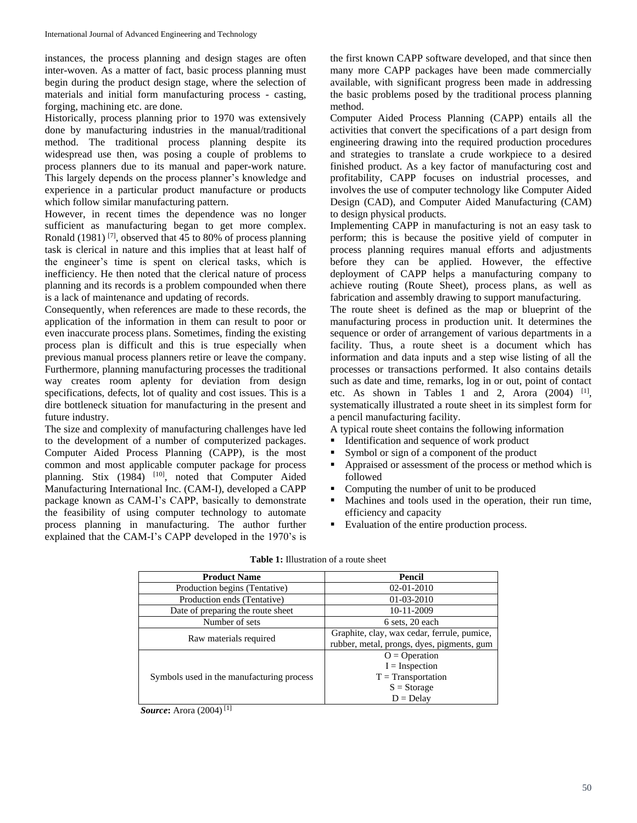instances, the process planning and design stages are often inter-woven. As a matter of fact, basic process planning must begin during the product design stage, where the selection of materials and initial form manufacturing process - casting, forging, machining etc. are done.

Historically, process planning prior to 1970 was extensively done by manufacturing industries in the manual/traditional method. The traditional process planning despite its widespread use then, was posing a couple of problems to process planners due to its manual and paper-work nature. This largely depends on the process planner's knowledge and experience in a particular product manufacture or products which follow similar manufacturing pattern.

However, in recent times the dependence was no longer sufficient as manufacturing began to get more complex. Ronald (1981)<sup>[7]</sup>, observed that 45 to 80% of process planning task is clerical in nature and this implies that at least half of the engineer's time is spent on clerical tasks, which is inefficiency. He then noted that the clerical nature of process planning and its records is a problem compounded when there is a lack of maintenance and updating of records.

Consequently, when references are made to these records, the application of the information in them can result to poor or even inaccurate process plans. Sometimes, finding the existing process plan is difficult and this is true especially when previous manual process planners retire or leave the company. Furthermore, planning manufacturing processes the traditional way creates room aplenty for deviation from design specifications, defects, lot of quality and cost issues. This is a dire bottleneck situation for manufacturing in the present and future industry.

The size and complexity of manufacturing challenges have led to the development of a number of computerized packages. Computer Aided Process Planning (CAPP), is the most common and most applicable computer package for process planning. Stix (1984) <sup>[10]</sup>, noted that Computer Aided Manufacturing International Inc. (CAM-I), developed a CAPP package known as CAM-I's CAPP, basically to demonstrate the feasibility of using computer technology to automate process planning in manufacturing. The author further explained that the CAM-I's CAPP developed in the 1970's is

the first known CAPP software developed, and that since then many more CAPP packages have been made commercially available, with significant progress been made in addressing the basic problems posed by the traditional process planning method.

Computer Aided Process Planning (CAPP) entails all the activities that convert the specifications of a part design from engineering drawing into the required production procedures and strategies to translate a crude workpiece to a desired finished product. As a key factor of manufacturing cost and profitability, CAPP focuses on industrial processes, and involves the use of computer technology like Computer Aided Design (CAD), and Computer Aided Manufacturing (CAM) to design physical products.

Implementing CAPP in manufacturing is not an easy task to perform; this is because the positive yield of computer in process planning requires manual efforts and adjustments before they can be applied. However, the effective deployment of CAPP helps a manufacturing company to achieve routing (Route Sheet), process plans, as well as fabrication and assembly drawing to support manufacturing.

The route sheet is defined as the map or blueprint of the manufacturing process in production unit. It determines the sequence or order of arrangement of various departments in a facility. Thus, a route sheet is a document which has information and data inputs and a step wise listing of all the processes or transactions performed. It also contains details such as date and time, remarks, log in or out, point of contact etc. As shown in Tables 1 and 2, Arora  $(2004)$ <sup>[1]</sup>, systematically illustrated a route sheet in its simplest form for a pencil manufacturing facility.

A typical route sheet contains the following information

- Identification and sequence of work product
- Symbol or sign of a component of the product
- Appraised or assessment of the process or method which is followed
- Computing the number of unit to be produced
- Machines and tools used in the operation, their run time, efficiency and capacity
- Evaluation of the entire production process.

| <b>Product Name</b>                       | Pencil                                      |  |  |
|-------------------------------------------|---------------------------------------------|--|--|
| Production begins (Tentative)             | 02-01-2010                                  |  |  |
| Production ends (Tentative)               | $01-03-2010$                                |  |  |
| Date of preparing the route sheet         | 10-11-2009                                  |  |  |
| Number of sets                            | 6 sets, 20 each                             |  |  |
|                                           | Graphite, clay, wax cedar, ferrule, pumice, |  |  |
| Raw materials required                    | rubber, metal, prongs, dyes, pigments, gum  |  |  |
|                                           | $Q = Operator$                              |  |  |
|                                           | $I = Inspection$                            |  |  |
| Symbols used in the manufacturing process | $T = Transportation$                        |  |  |
|                                           | $S = Storage$                               |  |  |
|                                           | $D = Delay$                                 |  |  |

|  | <b>Table 1:</b> Illustration of a route sheet |  |  |  |
|--|-----------------------------------------------|--|--|--|
|--|-----------------------------------------------|--|--|--|

*Source***:** Arora (2004) [1]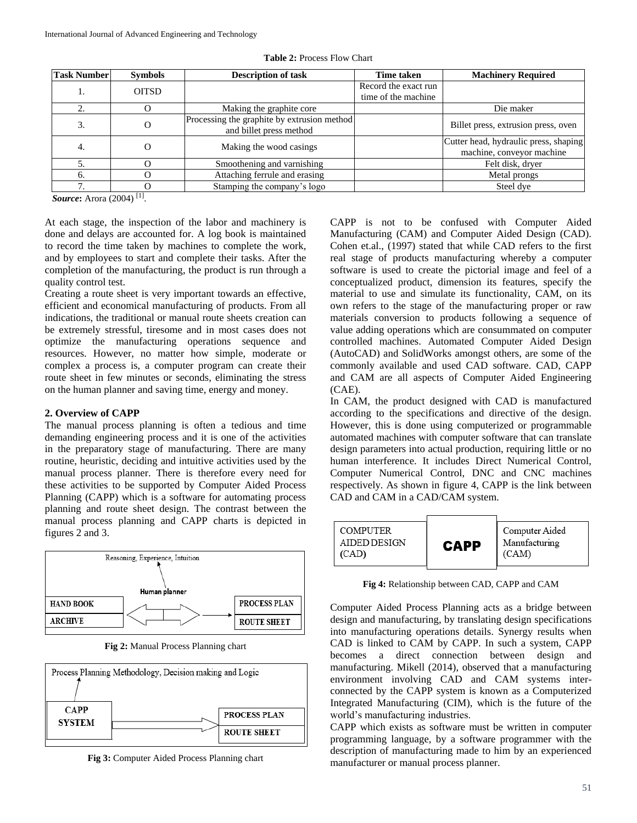| <b>Task Number</b> | <b>Symbols</b> | <b>Description of task</b>                                             | <b>Time taken</b>    | <b>Machinery Required</b>                                          |
|--------------------|----------------|------------------------------------------------------------------------|----------------------|--------------------------------------------------------------------|
| <b>OITSD</b>       |                |                                                                        | Record the exact run |                                                                    |
|                    |                |                                                                        | time of the machine  |                                                                    |
|                    |                | Making the graphite core.                                              |                      | Die maker                                                          |
| 3.                 |                | Processing the graphite by extrusion method<br>and billet press method |                      | Billet press, extrusion press, oven                                |
| 4.                 |                | Making the wood casings                                                |                      | Cutter head, hydraulic press, shaping<br>machine, conveyor machine |
|                    |                | Smoothening and varnishing                                             |                      | Felt disk, dryer                                                   |
| h.                 |                | Attaching ferrule and erasing                                          |                      | Metal prongs                                                       |
|                    |                | Stamping the company's logo                                            |                      | Steel dye                                                          |

**Table 2:** Process Flow Chart

*Source***:** Arora (2004) [1] .

At each stage, the inspection of the labor and machinery is done and delays are accounted for. A log book is maintained to record the time taken by machines to complete the work, and by employees to start and complete their tasks. After the completion of the manufacturing, the product is run through a quality control test.

Creating a route sheet is very important towards an effective, efficient and economical manufacturing of products. From all indications, the traditional or manual route sheets creation can be extremely stressful, tiresome and in most cases does not optimize the manufacturing operations sequence and resources. However, no matter how simple, moderate or complex a process is, a computer program can create their route sheet in few minutes or seconds, eliminating the stress on the human planner and saving time, energy and money.

### **2. Overview of CAPP**

The manual process planning is often a tedious and time demanding engineering process and it is one of the activities in the preparatory stage of manufacturing. There are many routine, heuristic, deciding and intuitive activities used by the manual process planner. There is therefore every need for these activities to be supported by Computer Aided Process Planning (CAPP) which is a software for automating process planning and route sheet design. The contrast between the manual process planning and CAPP charts is depicted in figures 2 and 3.



**Fig 2:** Manual Process Planning chart



**Fig 3:** Computer Aided Process Planning chart

CAPP is not to be confused with Computer Aided Manufacturing (CAM) and Computer Aided Design (CAD). Cohen et.al., (1997) stated that while CAD refers to the first real stage of products manufacturing whereby a computer software is used to create the pictorial image and feel of a conceptualized product, dimension its features, specify the material to use and simulate its functionality, CAM, on its own refers to the stage of the manufacturing proper or raw materials conversion to products following a sequence of value adding operations which are consummated on computer controlled machines. Automated Computer Aided Design (AutoCAD) and SolidWorks amongst others, are some of the commonly available and used CAD software. CAD, CAPP and CAM are all aspects of Computer Aided Engineering (CAE).

In CAM, the product designed with CAD is manufactured according to the specifications and directive of the design. However, this is done using computerized or programmable automated machines with computer software that can translate design parameters into actual production, requiring little or no human interference. It includes Direct Numerical Control, Computer Numerical Control, DNC and CNC machines respectively. As shown in figure 4, CAPP is the link between CAD and CAM in a CAD/CAM system.



**Fig 4:** Relationship between CAD, CAPP and CAM

Computer Aided Process Planning acts as a bridge between design and manufacturing, by translating design specifications into manufacturing operations details. Synergy results when CAD is linked to CAM by CAPP. In such a system, CAPP becomes a direct connection between design and manufacturing. Mikell (2014), observed that a manufacturing environment involving CAD and CAM systems interconnected by the CAPP system is known as a Computerized Integrated Manufacturing (CIM), which is the future of the world's manufacturing industries.

CAPP which exists as software must be written in computer programming language, by a software programmer with the description of manufacturing made to him by an experienced manufacturer or manual process planner.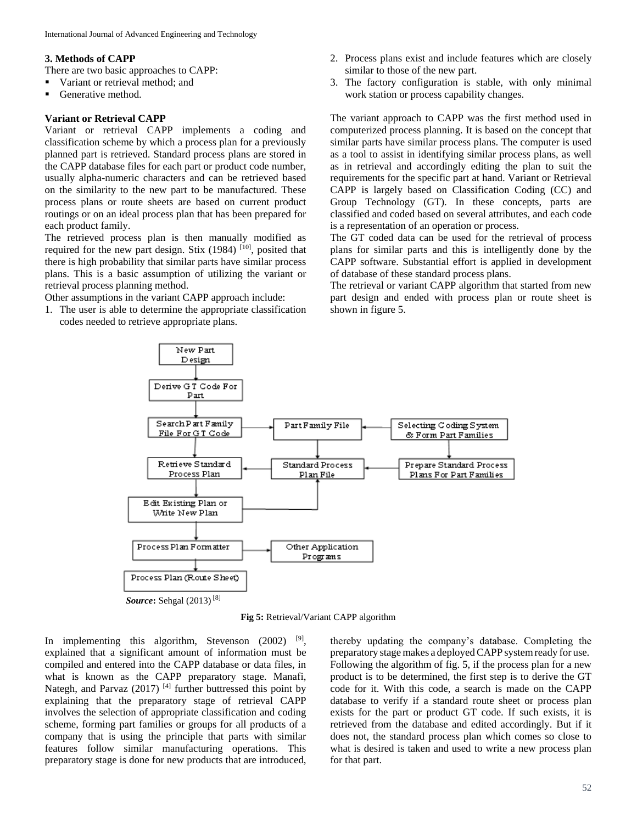### **3. Methods of CAPP**

There are two basic approaches to CAPP:

- Variant or retrieval method: and
- Generative method.

### **Variant or Retrieval CAPP**

Variant or retrieval CAPP implements a coding and classification scheme by which a process plan for a previously planned part is retrieved. Standard process plans are stored in the CAPP database files for each part or product code number, usually alpha-numeric characters and can be retrieved based on the similarity to the new part to be manufactured. These process plans or route sheets are based on current product routings or on an ideal process plan that has been prepared for each product family.

The retrieved process plan is then manually modified as required for the new part design. Stix  $(1984)$  [10], posited that there is high probability that similar parts have similar process plans. This is a basic assumption of utilizing the variant or retrieval process planning method.

Other assumptions in the variant CAPP approach include:

1. The user is able to determine the appropriate classification codes needed to retrieve appropriate plans.

- 2. Process plans exist and include features which are closely similar to those of the new part.
- 3. The factory configuration is stable, with only minimal work station or process capability changes.

The variant approach to CAPP was the first method used in computerized process planning. It is based on the concept that similar parts have similar process plans. The computer is used as a tool to assist in identifying similar process plans, as well as in retrieval and accordingly editing the plan to suit the requirements for the specific part at hand. Variant or Retrieval CAPP is largely based on Classification Coding (CC) and Group Technology (GT). In these concepts, parts are classified and coded based on several attributes, and each code is a representation of an operation or process.

The GT coded data can be used for the retrieval of process plans for similar parts and this is intelligently done by the CAPP software. Substantial effort is applied in development of database of these standard process plans.

The retrieval or variant CAPP algorithm that started from new part design and ended with process plan or route sheet is shown in figure 5.



**Fig 5:** Retrieval/Variant CAPP algorithm

In implementing this algorithm, Stevenson  $(2002)$  <sup>[9]</sup>, explained that a significant amount of information must be compiled and entered into the CAPP database or data files, in what is known as the CAPP preparatory stage. Manafi, Nategh, and Parvaz (2017)<sup>[4]</sup> further buttressed this point by explaining that the preparatory stage of retrieval CAPP involves the selection of appropriate classification and coding scheme, forming part families or groups for all products of a company that is using the principle that parts with similar features follow similar manufacturing operations. This preparatory stage is done for new products that are introduced,

thereby updating the company's database. Completing the preparatory stagemakes a deployedCAPP systemready for use. Following the algorithm of fig. 5, if the process plan for a new product is to be determined, the first step is to derive the GT code for it. With this code, a search is made on the CAPP database to verify if a standard route sheet or process plan exists for the part or product GT code. If such exists, it is retrieved from the database and edited accordingly. But if it does not, the standard process plan which comes so close to what is desired is taken and used to write a new process plan for that part.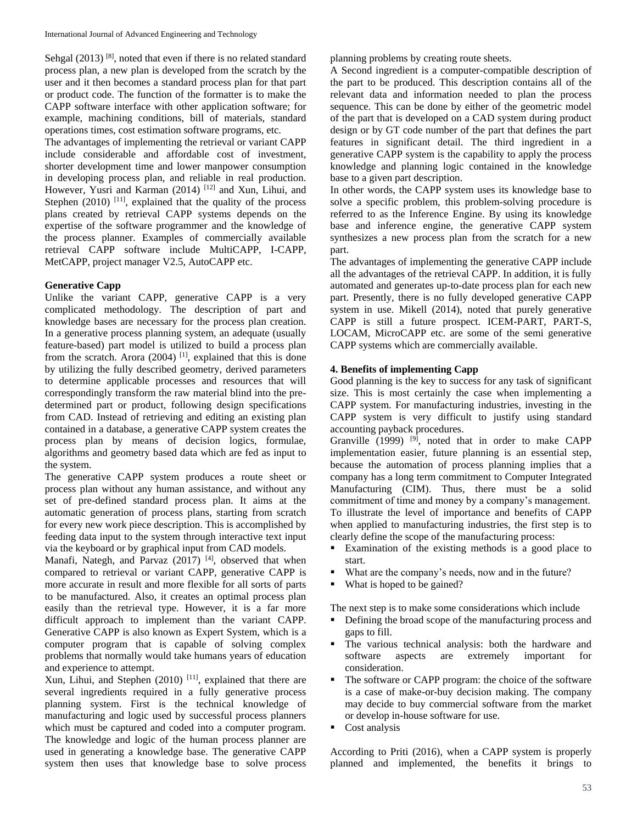Sehgal (2013)<sup>[8]</sup>, noted that even if there is no related standard process plan, a new plan is developed from the scratch by the user and it then becomes a standard process plan for that part or product code. The function of the formatter is to make the CAPP software interface with other application software; for example, machining conditions, bill of materials, standard operations times, cost estimation software programs, etc.

The advantages of implementing the retrieval or variant CAPP include considerable and affordable cost of investment, shorter development time and lower manpower consumption in developing process plan, and reliable in real production. However, Yusri and Karman (2014)<sup>[12]</sup> and Xun, Lihui, and Stephen  $(2010)$ <sup>[11]</sup>, explained that the quality of the process plans created by retrieval CAPP systems depends on the expertise of the software programmer and the knowledge of the process planner. Examples of commercially available retrieval CAPP software include MultiCAPP, I-CAPP, MetCAPP, project manager V2.5, AutoCAPP etc.

# **Generative Capp**

Unlike the variant CAPP, generative CAPP is a very complicated methodology. The description of part and knowledge bases are necessary for the process plan creation. In a generative process planning system, an adequate (usually feature-based) part model is utilized to build a process plan from the scratch. Arora (2004)<sup>[1]</sup>, explained that this is done by utilizing the fully described geometry, derived parameters to determine applicable processes and resources that will correspondingly transform the raw material blind into the predetermined part or product, following design specifications from CAD. Instead of retrieving and editing an existing plan contained in a database, a generative CAPP system creates the process plan by means of decision logics, formulae, algorithms and geometry based data which are fed as input to the system.

The generative CAPP system produces a route sheet or process plan without any human assistance, and without any set of pre-defined standard process plan. It aims at the automatic generation of process plans, starting from scratch for every new work piece description. This is accomplished by feeding data input to the system through interactive text input via the keyboard or by graphical input from CAD models.

Manafi, Nategh, and Parvaz (2017)<sup>[4]</sup>, observed that when compared to retrieval or variant CAPP, generative CAPP is more accurate in result and more flexible for all sorts of parts to be manufactured. Also, it creates an optimal process plan easily than the retrieval type. However, it is a far more difficult approach to implement than the variant CAPP. Generative CAPP is also known as Expert System, which is a computer program that is capable of solving complex problems that normally would take humans years of education and experience to attempt.

Xun, Lihui, and Stephen  $(2010)$ <sup>[11]</sup>, explained that there are several ingredients required in a fully generative process planning system. First is the technical knowledge of manufacturing and logic used by successful process planners which must be captured and coded into a computer program. The knowledge and logic of the human process planner are used in generating a knowledge base. The generative CAPP system then uses that knowledge base to solve process planning problems by creating route sheets.

A Second ingredient is a computer-compatible description of the part to be produced. This description contains all of the relevant data and information needed to plan the process sequence. This can be done by either of the geometric model of the part that is developed on a CAD system during product design or by GT code number of the part that defines the part features in significant detail. The third ingredient in a generative CAPP system is the capability to apply the process knowledge and planning logic contained in the knowledge base to a given part description.

In other words, the CAPP system uses its knowledge base to solve a specific problem, this problem-solving procedure is referred to as the Inference Engine. By using its knowledge base and inference engine, the generative CAPP system synthesizes a new process plan from the scratch for a new part.

The advantages of implementing the generative CAPP include all the advantages of the retrieval CAPP. In addition, it is fully automated and generates up-to-date process plan for each new part. Presently, there is no fully developed generative CAPP system in use. Mikell (2014), noted that purely generative CAPP is still a future prospect. ICEM-PART, PART-S, LOCAM, MicroCAPP etc. are some of the semi generative CAPP systems which are commercially available.

# **4. Benefits of implementing Capp**

Good planning is the key to success for any task of significant size. This is most certainly the case when implementing a CAPP system. For manufacturing industries, investing in the CAPP system is very difficult to justify using standard accounting payback procedures.

Granville (1999)  $[9]$ , noted that in order to make CAPP implementation easier, future planning is an essential step, because the automation of process planning implies that a company has a long term commitment to Computer Integrated Manufacturing (CIM). Thus, there must be a solid commitment of time and money by a company's management. To illustrate the level of importance and benefits of CAPP when applied to manufacturing industries, the first step is to clearly define the scope of the manufacturing process:

- Examination of the existing methods is a good place to start.
- What are the company's needs, now and in the future?
- What is hoped to be gained?

The next step is to make some considerations which include

- Defining the broad scope of the manufacturing process and gaps to fill.
- The various technical analysis: both the hardware and software aspects are extremely important for consideration.
- The software or CAPP program: the choice of the software is a case of make-or-buy decision making. The company may decide to buy commercial software from the market or develop in-house software for use.
- Cost analysis

According to Priti (2016), when a CAPP system is properly planned and implemented, the benefits it brings to